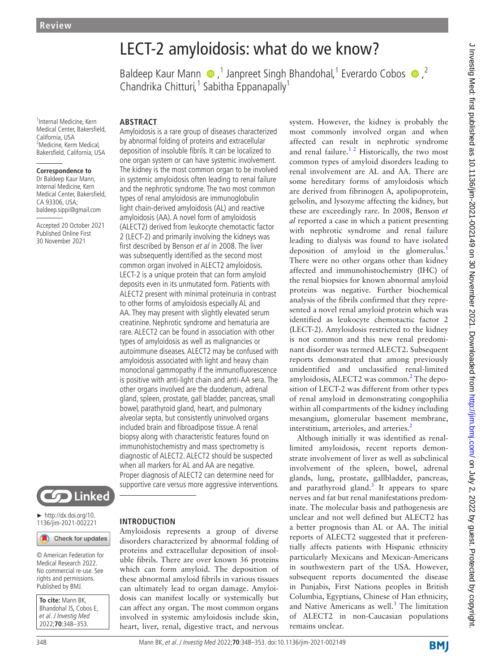1 Internal Medicine, Kern Medical Center, Bakersfield, California, USA <sup>2</sup>Medicine, Kerm Medical, Bakersfield, California, USA

#### **Correspondence to**

Dr Baldeep Kaur Mann, Internal Medicine, Kern Medical Center, Bakersfield, CA 93306, USA; baldeep.sippi@gmail.com

Accepted 20 October 2021 Published Online First 30 November 2021



► [http://dx.doi.org/10.](http://dx.doi.org/10.1136/jim-2021-002221) [1136/jim-2021-002221](http://dx.doi.org/10.1136/jim-2021-002221)

Check for updates

© American Federation for Medical Research 2022. No commercial re-use. See rights and permissions. Published by BMJ.

**To cite:** Mann BK, Bhandohal JS, Cobos E, et al. J Investig Med 2022;**70**:348–353.

# LECT-2 amyloidosis: what do we know?

BaldeepKaur Mann  $\bullet$ ,<sup>1</sup> Janpreet Singh Bhandohal,<sup>1</sup> Everardo Cobos  $\bullet$ ,<sup>2</sup> Chandrika Chitturi,<sup>1</sup> Sabitha Eppanapally<sup>1</sup>

#### **ABSTRACT**

Amyloidosis is a rare group of diseases characterized by abnormal folding of proteins and extracellular deposition of insoluble fibrils. It can be localized to one organ system or can have systemic involvement. The kidney is the most common organ to be involved in systemic amyloidosis often leading to renal failure and the nephrotic syndrome. The two most common types of renal amyloidosis are immunoglobulin light chain-derived amyloidosis (AL) and reactive amyloidosis (AA). A novel form of amyloidosis (ALECT2) derived from leukocyte chemotactic factor 2 (LECT-2) and primarily involving the kidneys was first described by Benson et al in 2008. The liver was subsequently identified as the second most common organ involved in ALECT2 amyloidosis. LECT-2 is a unique protein that can form amyloid deposits even in its unmutated form. Patients with ALECT2 present with minimal proteinuria in contrast to other forms of amyloidosis especially AL and AA. They may present with slightly elevated serum creatinine. Nephrotic syndrome and hematuria are rare. ALECT2 can be found in association with other types of amyloidosis as well as malignancies or autoimmune diseases. ALECT2 may be confused with amyloidosis associated with light and heavy chain monoclonal gammopathy if the immunofluorescence is positive with anti-light chain and anti-AA sera. The other organs involved are the duodenum, adrenal gland, spleen, prostate, gall bladder, pancreas, small bowel, parathyroid gland, heart, and pulmonary alveolar septa, but consistently uninvolved organs included brain and fibroadipose tissue. A renal biopsy along with characteristic features found on immunohistochemistry and mass spectrometry is diagnostic of ALECT2. ALECT2 should be suspected when all markers for AL and AA are negative. Proper diagnosis of ALECT2 can determine need for supportive care versus more aggressive interventions.

**INTRODUCTION**

Amyloidosis represents a group of diverse disorders characterized by abnormal folding of proteins and extracellular deposition of insoluble fibrils. There are over known 36 proteins which can form amyloid. The deposition of these abnormal amyloid fibrils in various tissues can ultimately lead to organ damage. Amyloidosis can manifest locally or systemically but can affect any organ. The most common organs involved in systemic amyloidosis include skin, heart, liver, renal, digestive tract, and nervous

system. However, the kidney is probably the most commonly involved organ and when affected can result in nephrotic syndrome and renal failure.<sup>12</sup> Historically, the two most common types of amyloid disorders leading to renal involvement are AL and AA. There are some hereditary forms of amyloidosis which are derived from fibrinogen A, apolipoprotein, gelsolin, and lysozyme affecting the kidney, but these are exceedingly rare. In 2008, Benson *et al* reported a case in which a patient presenting with nephrotic syndrome and renal failure leading to dialysis was found to have isolated deposition of amyloid in the glomerulus. $<sup>1</sup>$ </sup> There were no other organs other than kidney affected and immunohistochemistry (IHC) of the renal biopsies for known abnormal amyloid proteins was negative. Further biochemical analysis of the fibrils confirmed that they represented a novel renal amyloid protein which was identified as leukocyte chemotactic factor 2 (LECT-2). Amyloidosis restricted to the kidney is not common and this new renal predominant disorder was termed ALECT2. Subsequent reports demonstrated that among previously unidentified and unclassified renal-limited amyloidosis, ALECT[2](#page-4-1) was common.<sup>2</sup> The deposition of LECT-2 was different from other types of renal amyloid in demonstrating congophilia within all compartments of the kidney including mesangium, glomerular basement membrane, interstitium, arterioles, and arteries.<sup>[2](#page-4-1)</sup>

Although initially it was identified as renallimited amyloidosis, recent reports demonstrate involvement of liver as well as subclinical involvement of the spleen, bowel, adrenal glands, lung, prostate, gallbladder, pancreas, and parathyroid gland.<sup>[3](#page-4-2)</sup> It appears to spare nerves and fat but renal manifestations predominate. The molecular basis and pathogenesis are unclear and not well defined but ALECT2 has a better prognosis than AL or AA. The initial reports of ALECT2 suggested that it preferentially affects patients with Hispanic ethnicity particularly Mexicans and Mexican-Americans in southwestern part of the USA. However, subsequent reports documented the disease in Punjabis, First Nations peoples in British Columbia, Egyptians, Chinese of Han ethnicity, and Native Americans as well. $3$  The limitation of ALECT2 in non-Caucasian populations remains unclear.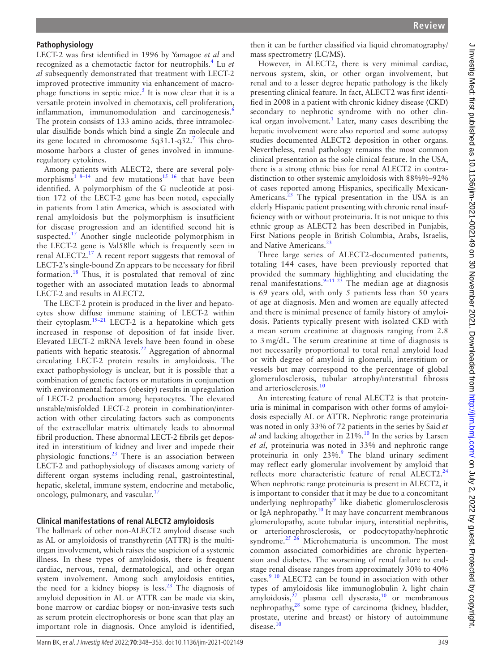#### **Pathophysiology**

LECT-2 was first identified in 1996 by Yamagoe *et al* and recognized as a chemotactic factor for neutrophils.[4](#page-4-3) Lu *et al* subsequently demonstrated that treatment with LECT-2 improved protective immunity via enhancement of macro-phage functions in septic mice.<sup>[5](#page-4-4)</sup> It is now clear that it is a versatile protein involved in chemotaxis, cell proliferation, inflammation, immunomodulation and carcinogenesis.<sup>[6](#page-4-5)</sup> The protein consists of 133 amino acids, three intramolecular disulfide bonds which bind a single Zn molecule and its gene located in chromosome  $5q31.1-q32$ .<sup>[7](#page-4-6)</sup> This chromosome harbors a cluster of genes involved in immuneregulatory cytokines.

Among patients with ALECT2, there are several polymorphisms<sup>1 8-14</sup> and few mutations<sup>15 16</sup> that have been identified. A polymorphism of the G nucleotide at position 172 of the LECT-2 gene has been noted, especially in patients from Latin America, which is associated with renal amyloidosis but the polymorphism is insufficient for disease progression and an identified second hit is suspected.<sup>17</sup> Another single nucleotide polymorphism in the LECT-2 gene is Val58lle which is frequently seen in renal ALECT2. $^{17}$  $^{17}$  $^{17}$  A recent report suggests that removal of LECT-2's single-bound Zn appears to be necessary for fibril formation.<sup>[18](#page-5-2)</sup> Thus, it is postulated that removal of zinc together with an associated mutation leads to abnormal LECT-2 and results in ALECT2.

The LECT-2 protein is produced in the liver and hepatocytes show diffuse immune staining of LECT-2 within their cytoplasm. $19-21$  LECT-2 is a hepatokine which gets increased in response of deposition of fat inside liver. Elevated LECT-2 mRNA levels have been found in obese patients with hepatic steatosis.<sup>22</sup> Aggregation of abnormal circulating LECT-2 protein results in amyloidosis. The exact pathophysiology is unclear, but it is possible that a combination of genetic factors or mutations in conjunction with environmental factors (obesity) results in upregulation of LECT-2 production among hepatocytes. The elevated unstable/misfolded LECT-2 protein in combination/interaction with other circulating factors such as components of the extracellular matrix ultimately leads to abnormal fibril production. These abnormal LECT-2 fibrils get deposited in interstitium of kidney and liver and impede their physiologic functions.[23](#page-5-5) There is an association between LECT-2 and pathophysiology of diseases among variety of different organ systems including renal, gastrointestinal, hepatic, skeletal, immune system, endocrine and metabolic, oncology, pulmonary, and vascular.<sup>[17](#page-5-1)</sup>

#### **Clinical manifestations of renal ALECT2 amyloidosis**

The hallmark of other non-ALECT2 amyloid disease such as AL or amyloidosis of transthyretin (ATTR) is the multiorgan involvement, which raises the suspicion of a systemic illness. In these types of amyloidosis, there is frequent cardiac, nervous, renal, dermatological, and other organ system involvement. Among such amyloidosis entities, the need for a kidney biopsy is less.<sup>[23](#page-5-5)</sup> The diagnosis of amyloid deposition in AL or ATTR can be made via skin, bone marrow or cardiac biopsy or non-invasive tests such as serum protein electrophoresis or bone scan that play an important role in diagnosis. Once amyloid is identified,

then it can be further classified via liquid chromatography/ mass spectrometry (LC/MS).

However, in ALECT2, there is very minimal cardiac, nervous system, skin, or other organ involvement, but renal and to a lesser degree hepatic pathology is the likely presenting clinical feature. In fact, ALECT2 was first identified in 2008 in a patient with chronic kidney disease (CKD) secondary to nephrotic syndrome with no other clinical organ involvement.<sup>1</sup> Later, many cases describing the hepatic involvement were also reported and some autopsy studies documented ALECT2 deposition in other organs. Nevertheless, renal pathology remains the most common clinical presentation as the sole clinical feature. In the USA, there is a strong ethnic bias for renal ALECT2 in contradistinction to other systemic amyloidosis with 88%%–92% of cases reported among Hispanics, specifically Mexican-Americans.<sup>23</sup> The typical presentation in the USA is an elderly Hispanic patient presenting with chronic renal insufficiency with or without proteinuria. It is not unique to this ethnic group as ALECT2 has been described in Punjabis, First Nations people in British Columbia, Arabs, Israelis, and Native Americans.<sup>[23](#page-5-5)</sup>

Three large series of ALECT2-documented patients, totaling 144 cases, have been previously reported that provided the summary highlighting and elucidating the renal manifestations.<sup>[9–11 23](#page-4-7)</sup> The median age at diagnosis is 69 years old, with only 5 patients less than 50 years of age at diagnosis. Men and women are equally affected and there is minimal presence of family history of amyloidosis. Patients typically present with isolated CKD with a mean serum creatinine at diagnosis ranging from 2.8 to 3 mg/dL. The serum creatinine at time of diagnosis is not necessarily proportional to total renal amyloid load or with degree of amyloid in glomeruli, interstitium or vessels but may correspond to the percentage of global glomerulosclerosis, tubular atrophy/interstitial fibrosis and arteriosclerosis.[10](#page-4-8)

An interesting feature of renal ALECT2 is that proteinuria is minimal in comparison with other forms of amyloidosis especially AL or ATTR. Nephrotic range proteinuria was noted in only 33% of 72 patients in the series by Said *et*   $al$  and lacking altogether in  $21\%$ .<sup>10</sup> In the series by Larsen *et al,* proteinuria was noted in 33% and nephrotic range proteinuria in only  $23\%$ . The bland urinary sediment may reflect early glomerular involvement by amyloid that reflects more characteristic feature of renal ALECT2.<sup>[24](#page-5-6)</sup> When nephrotic range proteinuria is present in ALECT2, it is important to consider that it may be due to a concomitant underlying nephropathy<sup>[9](#page-4-7)</sup> like diabetic glomerulosclerosis or IgA nephropathy.<sup>10</sup> It may have concurrent membranous glomerulopathy, acute tubular injury, interstitial nephritis, or arterionephrosclerosis, or podocytopathy/nephrotic syndrome.<sup>25 26</sup> Microhematuria is uncommon. The most common associated comorbidities are chronic hypertension and diabetes. The worsening of renal failure to endstage renal disease ranges from approximately 30% to 40% cases. $910$  ALECT2 can be found in association with other types of amyloidosis like immunoglobulin λ light chain amyloidosis, $^{27}$  plasma cell dyscrasia, $^{10}$  $^{10}$  $^{10}$  or membranous nephropathy, $28$  some type of carcinoma (kidney, bladder, prostate, uterine and breast) or history of autoimmune disease.<sup>[10](#page-4-8)</sup>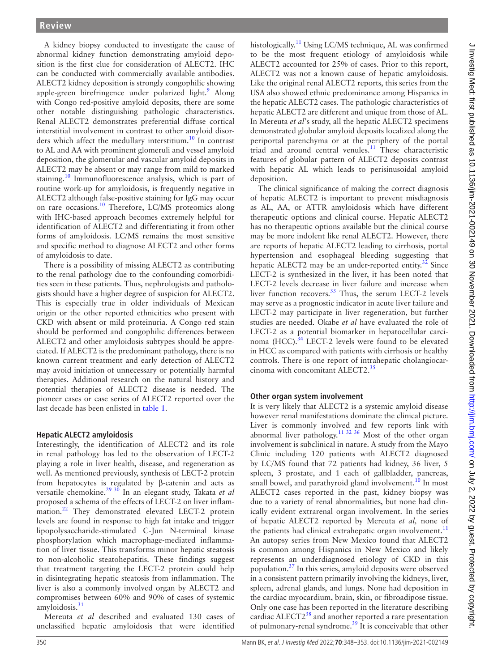A kidney biopsy conducted to investigate the cause of abnormal kidney function demonstrating amyloid deposition is the first clue for consideration of ALECT2. IHC can be conducted with commercially available antibodies. ALECT2 kidney deposition is strongly congophilic showing apple-green birefringence under polarized light.<sup>[9](#page-4-7)</sup> Along with Congo red-positive amyloid deposits, there are some other notable distinguishing pathologic characteristics. Renal ALECT2 demonstrates preferential diffuse cortical interstitial involvement in contrast to other amyloid disor-ders which affect the medullary interstitium.<sup>[10](#page-4-8)</sup> In contrast to AL and AA with prominent glomeruli and vessel amyloid deposition, the glomerular and vascular amyloid deposits in ALECT2 may be absent or may range from mild to marked staining.<sup>10</sup> Immunofluorescence analysis, which is part of routine work-up for amyloidosis, is frequently negative in ALECT2 although false-positive staining for IgG may occur on rare occasions[.10](#page-4-8) Therefore, LC/MS proteomics along with IHC-based approach becomes extremely helpful for identification of ALECT2 and differentiating it from other forms of amyloidosis. LC/MS remains the most sensitive and specific method to diagnose ALECT2 and other forms of amyloidosis to date.

There is a possibility of missing ALECT2 as contributing to the renal pathology due to the confounding comorbidities seen in these patients. Thus, nephrologists and pathologists should have a higher degree of suspicion for ALECT2. This is especially true in older individuals of Mexican origin or the other reported ethnicities who present with CKD with absent or mild proteinuria. A Congo red stain should be performed and congophilic differences between ALECT2 and other amyloidosis subtypes should be appreciated. If ALECT2 is the predominant pathology, there is no known current treatment and early detection of ALECT2 may avoid initiation of unnecessary or potentially harmful therapies. Additional research on the natural history and potential therapies of ALECT2 disease is needed. The pioneer cases or case series of ALECT2 reported over the last decade has been enlisted in [table](#page-3-0) 1.

#### **Hepatic ALECT2 amyloidosis**

Interestingly, the identification of ALECT2 and its role in renal pathology has led to the observation of LECT-2 playing a role in liver health, disease, and regeneration as well. As mentioned previously, synthesis of LECT-2 protein from hepatocytes is regulated by β-catenin and acts as versatile chemokine[.29 30](#page-5-10) In an elegant study, Takata *et al* proposed a schema of the effects of LECT-2 on liver inflam-mation.<sup>[22](#page-5-4)</sup> They demonstrated elevated LECT-2 protein levels are found in response to high fat intake and trigger lipopolysaccharide-stimulated C-Jun N-terminal kinase phosphorylation which macrophage-mediated inflammation of liver tissue. This transforms minor hepatic steatosis to non-alcoholic steatohepatitis. These findings suggest that treatment targeting the LECT-2 protein could help in disintegrating hepatic steatosis from inflammation. The liver is also a commonly involved organ by ALECT2 and compromises between 60% and 90% of cases of systemic amyloidosis. $31$ 

Mereuta *et al* described and evaluated 130 cases of unclassified hepatic amyloidosis that were identified

histologically.<sup>[11](#page-5-12)</sup> Using LC/MS technique, AL was confirmed to be the most frequent etiology of amyloidosis while ALECT2 accounted for 25% of cases. Prior to this report, ALECT2 was not a known cause of hepatic amyloidosis. Like the original renal ALECT2 reports, this series from the USA also showed ethnic predominance among Hispanics in the hepatic ALECT2 cases. The pathologic characteristics of hepatic ALECT2 are different and unique from those of AL. In Mereuta *et al*'s study, all the hepatic ALECT2 specimens demonstrated globular amyloid deposits localized along the periportal parenchyma or at the periphery of the portal triad and around central venules.<sup>11</sup> These characteristic features of globular pattern of ALECT2 deposits contrast with hepatic AL which leads to perisinusoidal amyloid deposition.

The clinical significance of making the correct diagnosis of hepatic ALECT2 is important to prevent misdiagnosis as AL, AA, or ATTR amyloidosis which have different therapeutic options and clinical course. Hepatic ALECT2 has no therapeutic options available but the clinical course may be more indolent like renal ALECT2. However, there are reports of hepatic ALECT2 leading to cirrhosis, portal hypertension and esophageal bleeding suggesting that hepatic ALECT2 may be an under-reported entity.<sup>32</sup> Since LECT-2 is synthesized in the liver, it has been noted that LECT-2 levels decrease in liver failure and increase when liver function recovers. $33$  Thus, the serum LECT-2 levels may serve as a prognostic indicator in acute liver failure and LECT-2 may participate in liver regeneration, but further studies are needed. Okabe *et al* have evaluated the role of LECT-2 as a potential biomarker in hepatocellular carci-noma (HCC).<sup>[34](#page-5-15)</sup> LECT-2 levels were found to be elevated in HCC as compared with patients with cirrhosis or healthy controls. There is one report of intrahepatic cholangiocar-cinoma with concomitant ALECT2.<sup>[35](#page-5-16)</sup>

#### **Other organ system involvement**

It is very likely that ALECT2 is a systemic amyloid disease however renal manifestations dominate the clinical picture. Liver is commonly involved and few reports link with abnormal liver pathology.<sup>[11 32 36](#page-5-12)</sup> Most of the other organ involvement is subclinical in nature. A study from the Mayo Clinic including 120 patients with ALECT2 diagnosed by LC/MS found that 72 patients had kidney, 36 liver, 5 spleen, 3 prostate, and 1 each of gallbladder, pancreas, small bowel, and parathyroid gland involvement.<sup>[10](#page-4-8)</sup> In most ALECT2 cases reported in the past, kidney biopsy was due to a variety of renal abnormalities, but none had clinically evident extrarenal organ involvement. In the series of hepatic ALECT2 reported by Mereuta *et al,* none of the patients had clinical extrahepatic organ involvement.<sup>[11](#page-5-12)</sup> An autopsy series from New Mexico found that ALECT2 is common among Hispanics in New Mexico and likely represents an underdiagnosed etiology of CKD in this population.<sup>37</sup> In this series, amyloid deposits were observed in a consistent pattern primarily involving the kidneys, liver, spleen, adrenal glands, and lungs. None had deposition in the cardiac myocardium, brain, skin, or fibroadipose tissue. Only one case has been reported in the literature describing cardiac ALECT2<sup>38</sup> and another reported a rare presentation of pulmonary-renal syndrome.<sup>[39](#page-5-19)</sup> It is conceivable that other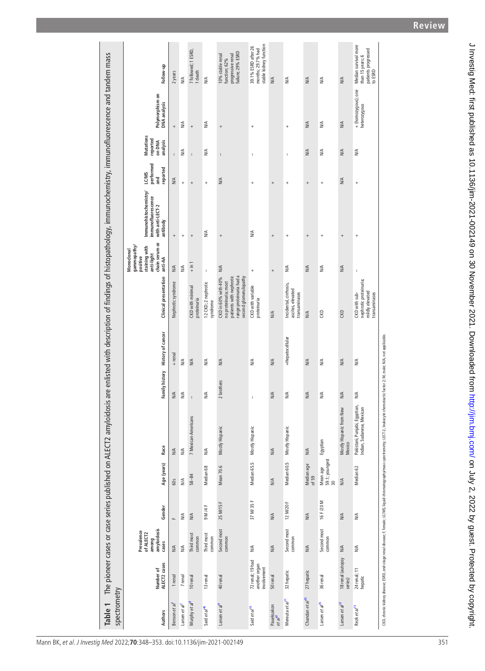<span id="page-3-0"></span>

| spectrometry                      |                                                                                                                               |                                                          |                      |                                  | Table 1 The pioneer cases or case series published on ALECT2 amyloidosis are enlisted with description of findings of histopathology, immunochemistry, immunofluorescence and tandem mass |                                                                                                                                                                                                                                                                                                                                                                                  |                                  |                                                                                                                            |                                                                                                  |                                                                             |                                       |                                                    |                                     |                                                                             |
|-----------------------------------|-------------------------------------------------------------------------------------------------------------------------------|----------------------------------------------------------|----------------------|----------------------------------|-------------------------------------------------------------------------------------------------------------------------------------------------------------------------------------------|----------------------------------------------------------------------------------------------------------------------------------------------------------------------------------------------------------------------------------------------------------------------------------------------------------------------------------------------------------------------------------|----------------------------------|----------------------------------------------------------------------------------------------------------------------------|--------------------------------------------------------------------------------------------------|-----------------------------------------------------------------------------|---------------------------------------|----------------------------------------------------|-------------------------------------|-----------------------------------------------------------------------------|
| Authors                           | Number of<br>ALECT2 cases                                                                                                     | amyloidosis<br>Prevalence<br>of ALECT2<br>among<br>cases | Gender               | Age (years)                      | Race                                                                                                                                                                                      |                                                                                                                                                                                                                                                                                                                                                                                  | Family history History of cancer | <b>Clinical presentation</b>                                                                                               | chain serum or<br>gammopathy<br>staining with<br>Monoclonal<br>anti-light<br>positive<br>anti-AA | Immunohistochemistry/<br>immunofluorescence<br>with anti-LECT-2<br>antibody | performed<br>reported<br>LC/MS<br>and | <b>Mutations</b><br>reported<br>analysis<br>on DNA | Polymorphism on<br>DNA analysis     | Follow-up                                                                   |
| Benson et al <sup>1</sup>         | 1 renal                                                                                                                       | $M\overset{\mathcal{A}}{\geq}$                           | щ                    | 60s                              | N/A                                                                                                                                                                                       | N/A                                                                                                                                                                                                                                                                                                                                                                              | + renal                          | Nephrotic syndrome                                                                                                         | N/A                                                                                              | $^{+}$                                                                      | $\overline{1}$<br>N/A                 | $^{+}$                                             |                                     | 2 years                                                                     |
| Larsen et $al^2$                  | 7 renal                                                                                                                       | $\leq$                                                   | $\frac{4}{2}$        | $\frac{4}{2}$                    | $\frac{4}{2}$                                                                                                                                                                             | $\frac{4}{2}$                                                                                                                                                                                                                                                                                                                                                                    | $\frac{4}{2}$                    |                                                                                                                            | ₹                                                                                                | $^{+}$                                                                      | $^{+}$                                | N/A                                                | ₹                                   | $\leq$                                                                      |
| Murphy et al <sup>8</sup>         | 10 renal                                                                                                                      | Third most<br>common                                     | $M\cong$             | $58 - 84$                        | 7 Mexican-Americans                                                                                                                                                                       | $\mathbf{I}$                                                                                                                                                                                                                                                                                                                                                                     | N/A                              | <b>CKD</b> with minimal<br>proteinuria                                                                                     | $+ \text{in} 1$                                                                                  | $\! + \!\!\!\!$                                                             | $\mathbf{I}$<br>$^{+}$                | $\ddot{}$                                          |                                     | 7 followed; 1 ESRD,<br>1 death                                              |
| Said et al <sup>46</sup>          | 13 renal                                                                                                                      | Third most<br>common                                     | 9 M /4 F             | Median 68                        | $\leq$                                                                                                                                                                                    | ₹                                                                                                                                                                                                                                                                                                                                                                                | N/A                              | 12 CKD; 2 nephrotic<br>syndrome                                                                                            | $\bar{1}$                                                                                        | ₹                                                                           | $\ddot{}$                             | NA                                                 | ₹                                   | $\frac{4}{2}$                                                               |
| Larsen et al <sup>9</sup>         | 40 renal                                                                                                                      | Second most<br>common                                    | 25 M/15 F            | Mean 70.6                        | Mostly Hispanic                                                                                                                                                                           | 2 brothers                                                                                                                                                                                                                                                                                                                                                                       | NA                               | range proteinuria had a<br>patients with nephrotic<br>second glomerulopathy<br>CKD in 60% with 40%<br>no proteinuria; most | N/A                                                                                              | $^{+}$                                                                      | $\overline{1}$<br>N/A                 | $^{+}$                                             |                                     | failure; 29% ESRD<br>progressive renal<br>10% stable renal<br>function; 62% |
| Said et al <sup>10</sup>          | 72 renal; 19 had<br>another organ<br>involvement                                                                              | $\frac{4}{\sqrt{2}}$                                     | 37 M/35 F            | Median 65.5                      | Mostly Hispanio                                                                                                                                                                           | $\begin{array}{c} \rule{0pt}{2.5ex} \rule{0pt}{2.5ex} \rule{0pt}{2.5ex} \rule{0pt}{2.5ex} \rule{0pt}{2.5ex} \rule{0pt}{2.5ex} \rule{0pt}{2.5ex} \rule{0pt}{2.5ex} \rule{0pt}{2.5ex} \rule{0pt}{2.5ex} \rule{0pt}{2.5ex} \rule{0pt}{2.5ex} \rule{0pt}{2.5ex} \rule{0pt}{2.5ex} \rule{0pt}{2.5ex} \rule{0pt}{2.5ex} \rule{0pt}{2.5ex} \rule{0pt}{2.5ex} \rule{0pt}{2.5ex} \rule{0$ | $M\uparrow$                      | CKD with variable<br>proteinuria                                                                                           | $\overline{1}$                                                                                   | $\frac{4}{2}$                                                               | $\overline{1}$<br>$^{+}$              | $\ddot{}$                                          |                                     | stable kidney function<br>39.1% ESRD after 26<br>months; 29.7% had          |
| Paueksakon<br>et al <sup>47</sup> | 50 renal                                                                                                                      | N/A                                                      | N/A                  | $M\uparrow$                      | N/A                                                                                                                                                                                       | N/A                                                                                                                                                                                                                                                                                                                                                                              | N/A                              | $\frac{4}{2}$                                                                                                              | $^{+}$                                                                                           | $^{+}$                                                                      | $^{+}$                                |                                                    |                                     | NA                                                                          |
| Mereuta et al <sup>11</sup>       | 32 hepatic                                                                                                                    | Second most<br>common                                    | 12 M/20 F            | Median 60.5                      | Mostly Hispanio                                                                                                                                                                           | ₹                                                                                                                                                                                                                                                                                                                                                                                | +Hepatocellular                  | Incidental, cirrhosis,<br>ascites, elevated<br>transaminases                                                               | NA                                                                                               | $\ddot{}$                                                                   | $\overline{1}$<br>$\ddot{}$           | $\ddot{}$                                          |                                     | ₹                                                                           |
| Chandan et al <sup>43</sup>       | 27 hepatic                                                                                                                    | $\frac{4}{2}$                                            | $M\uparrow$          | Median age<br>of 59              | $M\uparrow$                                                                                                                                                                               | N/A                                                                                                                                                                                                                                                                                                                                                                              | N/A                              | NA                                                                                                                         | N/A                                                                                              | $^{+}$                                                                      | $^{+}$                                | N/A                                                | NA                                  | NA                                                                          |
| Larsen et $a^{p5}$                | 36 renal                                                                                                                      | Second most<br>common                                    | 16 F/20 M            | 59.1; youngest<br>30<br>Mean age | Egyptian                                                                                                                                                                                  | ₹                                                                                                                                                                                                                                                                                                                                                                                | N/A                              | $\approx$                                                                                                                  | N/A                                                                                              | $\ddot{}$                                                                   | $\ddot{}$                             | NA                                                 | ₹                                   | ≸                                                                           |
| Larsen et al <sup>ar</sup>        | 18 renal (autopsy<br>series)                                                                                                  | NA                                                       | $\frac{4}{2}$        | $M\uparrow$                      | Mostly Hispanic from New<br>Mexico                                                                                                                                                        | NA                                                                                                                                                                                                                                                                                                                                                                               | $\frac{1}{2}$                    | CKD                                                                                                                        | N∕A                                                                                              | $^{+}$                                                                      | N∕A                                   | N/A                                                | NA                                  | NA                                                                          |
| Rezk et al <sup>13</sup>          | 24 renal; 11<br>hepatic                                                                                                       | ₹                                                        | $\frac{4}{\sqrt{2}}$ | Median 62                        | Pakistani, Punjabi, Egyptian,<br>Indian, Sudanese, Mexican                                                                                                                                | ≫                                                                                                                                                                                                                                                                                                                                                                                | NA                               | nephrotic proteinuria;<br>mildly elevated<br>CKD with sub-<br>transaminases                                                | Ï                                                                                                | $^{+}$                                                                      | $\ddot{}$                             | NA                                                 | + (homozygous); one<br>heterozygous | Median survival more<br>patients progressed<br>to ESRD<br>than 15 years; 6  |
|                                   | CKD, chronic kidney disease; ESRD, end-stage renal disease; F female; LC/MS, liquid chromatography/mass spectrometry; LECT-2, |                                                          |                      |                                  |                                                                                                                                                                                           | leukocyte chemotactic factor 2; M, male; N/A, not applicable.                                                                                                                                                                                                                                                                                                                    |                                  |                                                                                                                            |                                                                                                  |                                                                             |                                       |                                                    |                                     |                                                                             |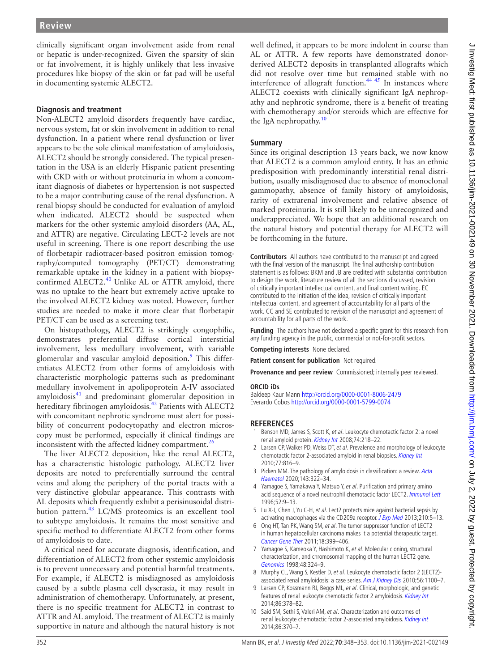clinically significant organ involvement aside from renal or hepatic is under-recognized. Given the sparsity of skin or fat involvement, it is highly unlikely that less invasive procedures like biopsy of the skin or fat pad will be useful in documenting systemic ALECT2.

## **Diagnosis and treatment**

Non-ALECT2 amyloid disorders frequently have cardiac, nervous system, fat or skin involvement in addition to renal dysfunction. In a patient where renal dysfunction or liver appears to be the sole clinical manifestation of amyloidosis, ALECT2 should be strongly considered. The typical presentation in the USA is an elderly Hispanic patient presenting with CKD with or without proteinuria in whom a concomitant diagnosis of diabetes or hypertension is not suspected to be a major contributing cause of the renal dysfunction. A renal biopsy should be conducted for evaluation of amyloid when indicated. ALECT2 should be suspected when markers for the other systemic amyloid disorders (AA, AL, and ATTR) are negative. Circulating LECT-2 levels are not useful in screening. There is one report describing the use of florbetapir radiotracer-based positron emission tomography/computed tomography (PET/CT) demonstrating remarkable uptake in the kidney in a patient with biopsy-confirmed ALECT2.<sup>[40](#page-5-24)</sup> Unlike AL or ATTR amyloid, there was no uptake to the heart but extremely active uptake to the involved ALECT2 kidney was noted. However, further studies are needed to make it more clear that florbetapir PET/CT can be used as a screening test.

On histopathology, ALECT2 is strikingly congophilic, demonstrates preferential diffuse cortical interstitial involvement, less medullary involvement, with variable glomerular and vascular amyloid deposition.<sup>[9](#page-4-7)</sup> This differentiates ALECT2 from other forms of amyloidosis with characteristic morphologic patterns such as predominant medullary involvement in apolipoprotein A-IV associated amyloidosis<sup>41</sup> and predominant glomerular deposition in hereditary fibrinogen amyloidosis.<sup>42</sup> Patients with ALECT2 with concomitant nephrotic syndrome must alert for possibility of concurrent podocytopathy and electron microscopy must be performed, especially if clinical findings are inconsistent with the affected kidney compartment.<sup>26</sup>

The liver ALECT2 deposition, like the renal ALECT2, has a characteristic histologic pathology. ALECT2 liver deposits are noted to preferentially surround the central veins and along the periphery of the portal tracts with a very distinctive globular appearance. This contrasts with AL deposits which frequently exhibit a perisinusoidal distri-bution pattern.<sup>[43](#page-5-22)</sup> LC/MS proteomics is an excellent tool to subtype amyloidosis. It remains the most sensitive and specific method to differentiate ALECT2 from other forms of amyloidosis to date.

A critical need for accurate diagnosis, identification, and differentiation of ALECT2 from other systemic amyloidosis is to prevent unnecessary and potential harmful treatments. For example, if ALECT2 is misdiagnosed as amyloidosis caused by a subtle plasma cell dyscrasia, it may result in administration of chemotherapy. Unfortunately, at present, there is no specific treatment for ALECT2 in contrast to ATTR and AL amyloid. The treatment of ALECT2 is mainly supportive in nature and although the natural history is not

well defined, it appears to be more indolent in course than AL or ATTR. A few reports have demonstrated donorderived ALECT2 deposits in transplanted allografts which did not resolve over time but remained stable with no interference of allograft function.<sup>44 45</sup> In instances where ALECT2 coexists with clinically significant IgA nephropathy and nephrotic syndrome, there is a benefit of treating with chemotherapy and/or steroids which are effective for the IgA nephropathy.<sup>[10](#page-4-8)</sup>

## **Summary**

Since its original description 13 years back, we now know that ALECT2 is a common amyloid entity. It has an ethnic predisposition with predominantly interstitial renal distribution, usually misdiagnosed due to absence of monoclonal gammopathy, absence of family history of amyloidosis, rarity of extrarenal involvement and relative absence of marked proteinuria. It is still likely to be unrecognized and underappreciated. We hope that an additional research on the natural history and potential therapy for ALECT2 will be forthcoming in the future.

**Contributors** All authors have contributed to the manuscript and agreed with the final version of the manuscript. The final authorship contribution statement is as follows: BKM and JB are credited with substantial contribution to design the work, literature review of all the sections discussed, revision of critically important intellectual content, and final content writing. EC contributed to the initiation of the idea, revision of critically important intellectual content, and agreement of accountability for all parts of the work. CC and SE contributed to revision of the manuscript and agreement of accountability for all parts of the work.

**Funding** The authors have not declared a specific grant for this research from any funding agency in the public, commercial or not-for-profit sectors.

**Competing interests** None declared.

**Patient consent for publication** Not required.

**Provenance and peer review** Commissioned; internally peer reviewed.

#### **ORCID iDs**

Baldeep Kaur Mann <http://orcid.org/0000-0001-8006-2479> Everardo Cobos <http://orcid.org/0000-0001-5799-0074>

#### **REFERENCES**

- <span id="page-4-0"></span>1 Benson MD, James S, Scott K, et al. Leukocyte chemotactic factor 2: a novel renal amyloid protein. [Kidney Int](http://dx.doi.org/10.1038/ki.2008.152) 2008;74:218-22.
- <span id="page-4-1"></span>2 Larsen CP, Walker PD, Weiss DT, et al. Prevalence and morphology of leukocyte chemotactic factor 2-associated amyloid in renal biopsies. [Kidney Int](http://dx.doi.org/10.1038/ki.2010.9) 2010;77:816–9.
- <span id="page-4-2"></span>3 Picken MM. The pathology of amyloidosis in classification: a review. Acta [Haematol](http://dx.doi.org/10.1159/000506696) 2020;143:322–34.
- <span id="page-4-3"></span>4 Yamagoe S, Yamakawa Y, Matsuo Y, et al. Purification and primary amino acid sequence of a novel neutrophil chemotactic factor LECT2. [Immunol Lett](http://dx.doi.org/10.1016/0165-2478(96)02572-2) 1996;52:9–13.
- <span id="page-4-4"></span>5 Lu X-J, Chen J, Yu C-H, et al. Lect2 protects mice against bacterial sepsis by activating macrophages via the CD209a receptor. [J Exp Med](http://dx.doi.org/10.1084/jem.20121466) 2013;210:5-13.
- <span id="page-4-5"></span>6 Ong HT, Tan PK, Wang SM, et al. The tumor suppressor function of LECT2 in human hepatocellular carcinoma makes it a potential therapeutic target. [Cancer Gene Ther](http://dx.doi.org/10.1038/cgt.2011.5) 2011;18:399–406.
- <span id="page-4-6"></span>7 Yamagoe S, Kameoka Y, Hashimoto K, et al. Molecular cloning, structural characterization, and chromosomal mapping of the human LECT2 gene. [Genomics](http://dx.doi.org/10.1006/geno.1997.5198) 1998;48:324–9.
- <span id="page-4-9"></span>8 Murphy CL, Wang S, Kestler D, et al. Leukocyte chemotactic factor 2 (LECT2)-associated renal amyloidosis: a case series. [Am J Kidney Dis](http://dx.doi.org/10.1053/j.ajkd.2010.08.013) 2010;56:1100-7.
- <span id="page-4-7"></span>9 Larsen CP, Kossmann RJ, Beggs ML, et al. Clinical, morphologic, and genetic features of renal leukocyte chemotactic factor 2 amyloidosis. [Kidney Int](http://dx.doi.org/10.1038/ki.2014.11) 2014;86:378–82.
- <span id="page-4-8"></span>10 Said SM, Sethi S, Valeri AM, et al. Characterization and outcomes of renal leukocyte chemotactic factor 2-associated amyloidosis. [Kidney Int](http://dx.doi.org/10.1038/ki.2013.558) 2014;86:370–7.